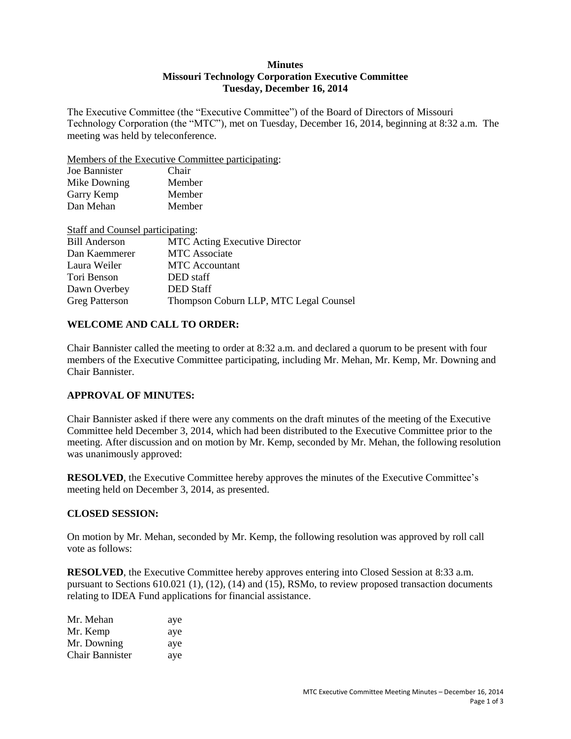#### **Minutes Missouri Technology Corporation Executive Committee Tuesday, December 16, 2014**

The Executive Committee (the "Executive Committee") of the Board of Directors of Missouri Technology Corporation (the "MTC"), met on Tuesday, December 16, 2014, beginning at 8:32 a.m. The meeting was held by teleconference.

Members of the Executive Committee participating:

| Joe Bannister | Chair  |
|---------------|--------|
| Mike Downing  | Member |
| Garry Kemp    | Member |
| Dan Mehan     | Member |
|               |        |

| Staff and Counsel participating: |                                        |
|----------------------------------|----------------------------------------|
| <b>Bill Anderson</b>             | <b>MTC</b> Acting Executive Director   |
| Dan Kaemmerer                    | <b>MTC</b> Associate                   |
| Laura Weiler                     | <b>MTC</b> Accountant                  |
| Tori Benson                      | DED staff                              |
| Dawn Overbey                     | <b>DED</b> Staff                       |
| <b>Greg Patterson</b>            | Thompson Coburn LLP, MTC Legal Counsel |

## **WELCOME AND CALL TO ORDER:**

Chair Bannister called the meeting to order at 8:32 a.m. and declared a quorum to be present with four members of the Executive Committee participating, including Mr. Mehan, Mr. Kemp, Mr. Downing and Chair Bannister.

# **APPROVAL OF MINUTES:**

Chair Bannister asked if there were any comments on the draft minutes of the meeting of the Executive Committee held December 3, 2014, which had been distributed to the Executive Committee prior to the meeting. After discussion and on motion by Mr. Kemp, seconded by Mr. Mehan, the following resolution was unanimously approved:

**RESOLVED**, the Executive Committee hereby approves the minutes of the Executive Committee's meeting held on December 3, 2014, as presented.

### **CLOSED SESSION:**

On motion by Mr. Mehan, seconded by Mr. Kemp, the following resolution was approved by roll call vote as follows:

**RESOLVED**, the Executive Committee hereby approves entering into Closed Session at 8:33 a.m. pursuant to Sections 610.021 (1), (12), (14) and (15), RSMo, to review proposed transaction documents relating to IDEA Fund applications for financial assistance.

| Mr. Mehan       | aye |
|-----------------|-----|
| Mr. Kemp        | aye |
| Mr. Downing     | aye |
| Chair Bannister | ave |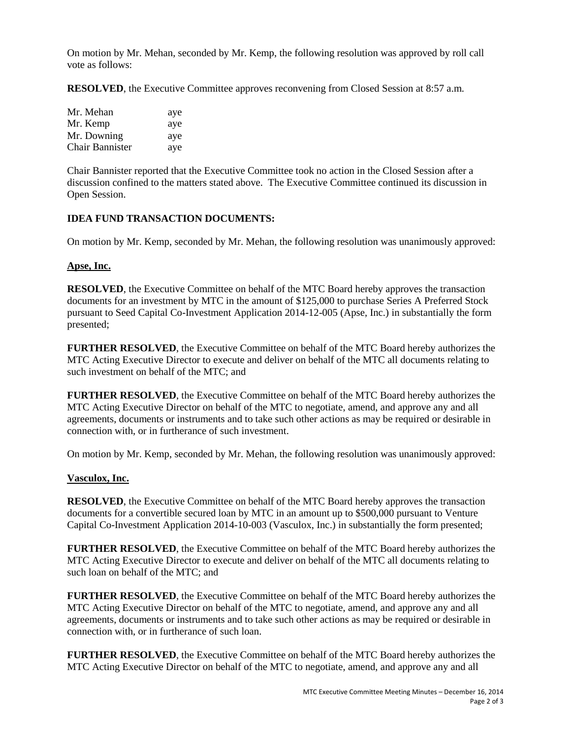On motion by Mr. Mehan, seconded by Mr. Kemp, the following resolution was approved by roll call vote as follows:

**RESOLVED**, the Executive Committee approves reconvening from Closed Session at 8:57 a.m.

| Mr. Mehan       | aye |
|-----------------|-----|
| Mr. Kemp        | aye |
| Mr. Downing     | aye |
| Chair Bannister | aye |

Chair Bannister reported that the Executive Committee took no action in the Closed Session after a discussion confined to the matters stated above. The Executive Committee continued its discussion in Open Session.

## **IDEA FUND TRANSACTION DOCUMENTS:**

On motion by Mr. Kemp, seconded by Mr. Mehan, the following resolution was unanimously approved:

### **Apse, Inc.**

**RESOLVED**, the Executive Committee on behalf of the MTC Board hereby approves the transaction documents for an investment by MTC in the amount of \$125,000 to purchase Series A Preferred Stock pursuant to Seed Capital Co-Investment Application 2014-12-005 (Apse, Inc.) in substantially the form presented;

**FURTHER RESOLVED**, the Executive Committee on behalf of the MTC Board hereby authorizes the MTC Acting Executive Director to execute and deliver on behalf of the MTC all documents relating to such investment on behalf of the MTC; and

**FURTHER RESOLVED**, the Executive Committee on behalf of the MTC Board hereby authorizes the MTC Acting Executive Director on behalf of the MTC to negotiate, amend, and approve any and all agreements, documents or instruments and to take such other actions as may be required or desirable in connection with, or in furtherance of such investment.

On motion by Mr. Kemp, seconded by Mr. Mehan, the following resolution was unanimously approved:

### **Vasculox, Inc.**

**RESOLVED**, the Executive Committee on behalf of the MTC Board hereby approves the transaction documents for a convertible secured loan by MTC in an amount up to \$500,000 pursuant to Venture Capital Co-Investment Application 2014-10-003 (Vasculox, Inc.) in substantially the form presented;

**FURTHER RESOLVED**, the Executive Committee on behalf of the MTC Board hereby authorizes the MTC Acting Executive Director to execute and deliver on behalf of the MTC all documents relating to such loan on behalf of the MTC; and

**FURTHER RESOLVED**, the Executive Committee on behalf of the MTC Board hereby authorizes the MTC Acting Executive Director on behalf of the MTC to negotiate, amend, and approve any and all agreements, documents or instruments and to take such other actions as may be required or desirable in connection with, or in furtherance of such loan.

**FURTHER RESOLVED**, the Executive Committee on behalf of the MTC Board hereby authorizes the MTC Acting Executive Director on behalf of the MTC to negotiate, amend, and approve any and all